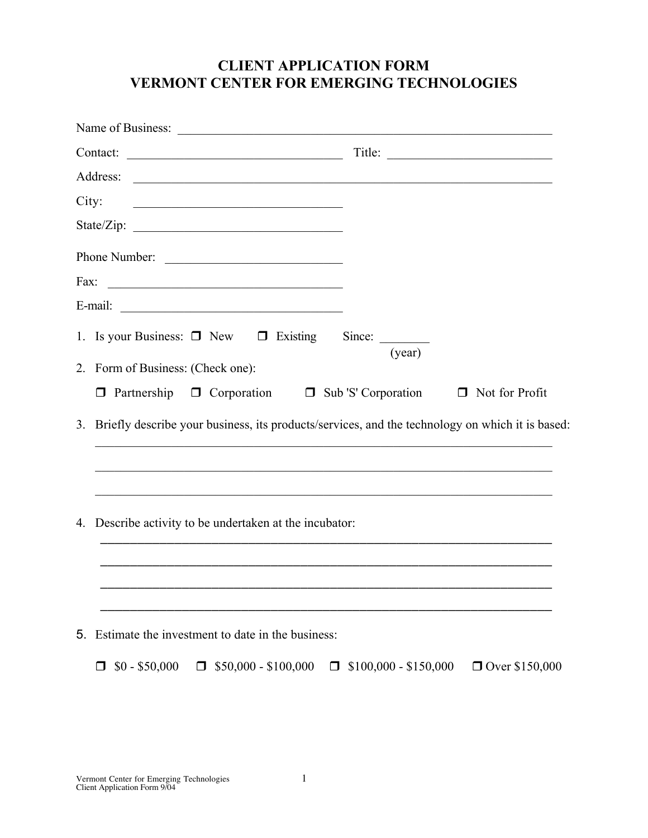### CLIENT APPLICATION FORM VERMONT CENTER FOR EMERGING TECHNOLOGIES

| Contact: |                                                                                                           | Title:                          |                  |
|----------|-----------------------------------------------------------------------------------------------------------|---------------------------------|------------------|
|          |                                                                                                           |                                 |                  |
|          | City:                                                                                                     |                                 |                  |
|          |                                                                                                           |                                 |                  |
|          | Phone Number:                                                                                             |                                 |                  |
| Fax:     |                                                                                                           |                                 |                  |
|          |                                                                                                           |                                 |                  |
|          | 1. Is your Business: $\Box$ New $\Box$ Existing Since: ________                                           | (year)                          |                  |
|          | 2. Form of Business: (Check one):                                                                         |                                 |                  |
|          | $\Box$ Partnership $\Box$ Corporation $\Box$ Sub 'S' Corporation $\Box$ Not for Profit                    |                                 |                  |
|          | 3. Briefly describe your business, its products/services, and the technology on which it is based:        |                                 |                  |
|          | 4. Describe activity to be undertaken at the incubator:                                                   |                                 |                  |
|          |                                                                                                           |                                 |                  |
| 5.       | Estimate the investment to date in the business:<br>$$0 - $50,000$<br>$$50,000 - $100,000$<br>□<br>$\Box$ | $$100,000 - $150,000$<br>$\Box$ | □ Over \$150,000 |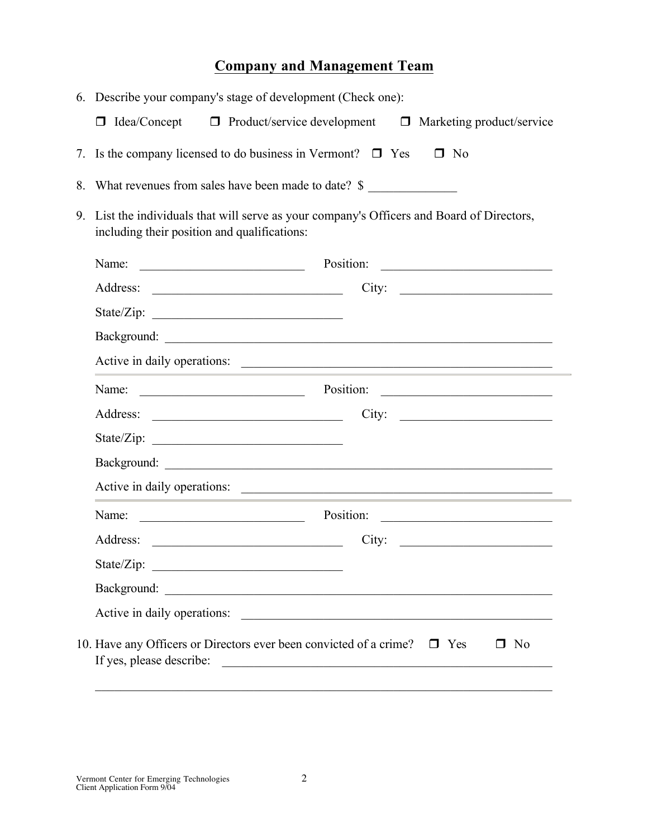# Company and Management Team

|    | 6. Describe your company's stage of development (Check one):                                                                                                                                                                                   |  |  |
|----|------------------------------------------------------------------------------------------------------------------------------------------------------------------------------------------------------------------------------------------------|--|--|
|    | $\Box$ Idea/Concept $\Box$ Product/service development $\Box$ Marketing product/service                                                                                                                                                        |  |  |
| 7. | Is the company licensed to do business in Vermont? $\Box$ Yes<br>$\square$ No                                                                                                                                                                  |  |  |
| 8. | What revenues from sales have been made to date? \$                                                                                                                                                                                            |  |  |
| 9. | List the individuals that will serve as your company's Officers and Board of Directors,<br>including their position and qualifications:                                                                                                        |  |  |
|    | Position:<br>Name:<br><u> 1989 - Johann Barn, fransk politik amerikansk politik (</u><br><u> Alexandria (m. 1888)</u>                                                                                                                          |  |  |
|    | City:                                                                                                                                                                                                                                          |  |  |
|    |                                                                                                                                                                                                                                                |  |  |
|    |                                                                                                                                                                                                                                                |  |  |
|    | Active in daily operations:                                                                                                                                                                                                                    |  |  |
|    | Name:<br>$\overline{\phantom{a}}$ Position: $\overline{\phantom{a}}$                                                                                                                                                                           |  |  |
|    | City:                                                                                                                                                                                                                                          |  |  |
|    |                                                                                                                                                                                                                                                |  |  |
|    |                                                                                                                                                                                                                                                |  |  |
|    | Active in daily operations:                                                                                                                                                                                                                    |  |  |
|    | Name:<br>Position:                                                                                                                                                                                                                             |  |  |
|    | Address:<br>City:                                                                                                                                                                                                                              |  |  |
|    | State/Zip:<br><u> 2002 - Johann John Stein, mars and deutscher Stein († 18</u>                                                                                                                                                                 |  |  |
|    | Background:                                                                                                                                                                                                                                    |  |  |
|    | Active in daily operations:                                                                                                                                                                                                                    |  |  |
|    | 10. Have any Officers or Directors ever been convicted of a crime? $\Box$ Yes<br>$\Box$ No<br>If yes, please describe:<br><u> 1980 - Jan Alexandria de Alexandria de la contrada de la contrada de la contrada de la contrada de la contra</u> |  |  |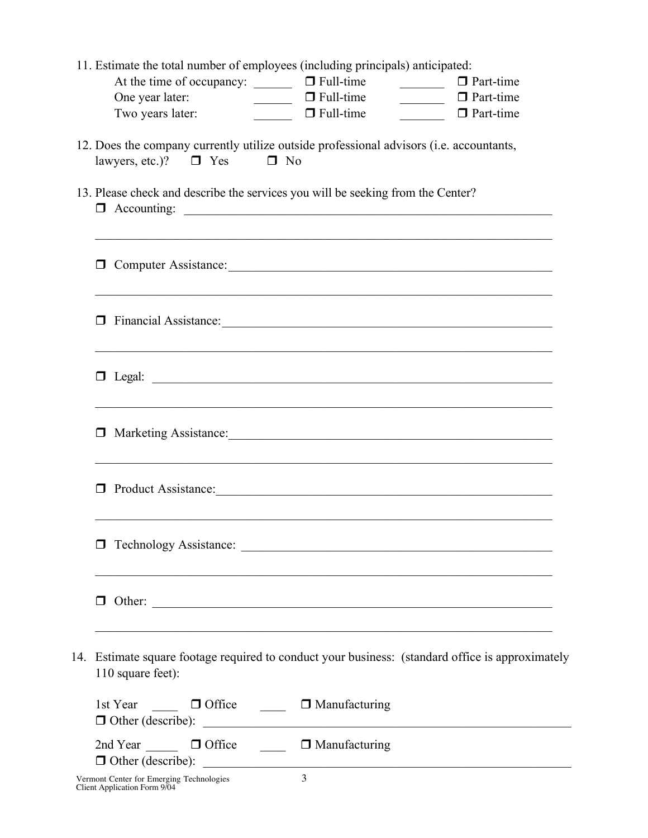| 11. Estimate the total number of employees (including principals) anticipated:                                                  |                                                                                                                      |                         |
|---------------------------------------------------------------------------------------------------------------------------------|----------------------------------------------------------------------------------------------------------------------|-------------------------|
| At the time of occupancy: $\Box$ $\Box$ Full-time                                                                               |                                                                                                                      | $\Box$ $\Box$ Part-time |
| One year later:                                                                                                                 | $\Box$ $\Box$ Full-time                                                                                              | $\Box$ $\Box$ Part-time |
| Two years later:                                                                                                                | $\Box$ $\Box$ Full-time                                                                                              | $\Box$ $\Box$ Part-time |
| 12. Does the company currently utilize outside professional advisors (i.e. accountants,<br>lawyers, etc.)? $\Box$ Yes $\Box$ No |                                                                                                                      |                         |
| 13. Please check and describe the services you will be seeking from the Center?<br>$\Box$ Accounting:                           |                                                                                                                      |                         |
| O Computer Assistance:                                                                                                          |                                                                                                                      |                         |
| ,我们也不能在这里的人,我们也不能在这里的人,我们也不能在这里的人,我们也不能在这里的人,我们也不能在这里的人,我们也不能在这里的人,我们也不能在这里的人,我们也                                               |                                                                                                                      |                         |
|                                                                                                                                 |                                                                                                                      |                         |
| $\Box$                                                                                                                          | <u> 1989 - Johann John Harry Harry Harry Harry Harry Harry Harry Harry Harry Harry Harry Harry Harry Harry Harry</u> |                         |
| $\Box$ Product Assistance:                                                                                                      | <u> 1989 - Johann Barn, mars an t-Amerikaansk politiker (* 1908)</u>                                                 |                         |
|                                                                                                                                 |                                                                                                                      |                         |
|                                                                                                                                 |                                                                                                                      |                         |
| 14. Estimate square footage required to conduct your business: (standard office is approximately<br>110 square feet):           |                                                                                                                      |                         |
| 1st Year $\Box$ Office $\Box$ Manufacturing<br>$\Box$ Other (describe): $\Box$                                                  |                                                                                                                      |                         |
| 2nd Year □ □ Office □ □ Manufacturing<br>$\Box$ Other (describe): $\Box$                                                        |                                                                                                                      |                         |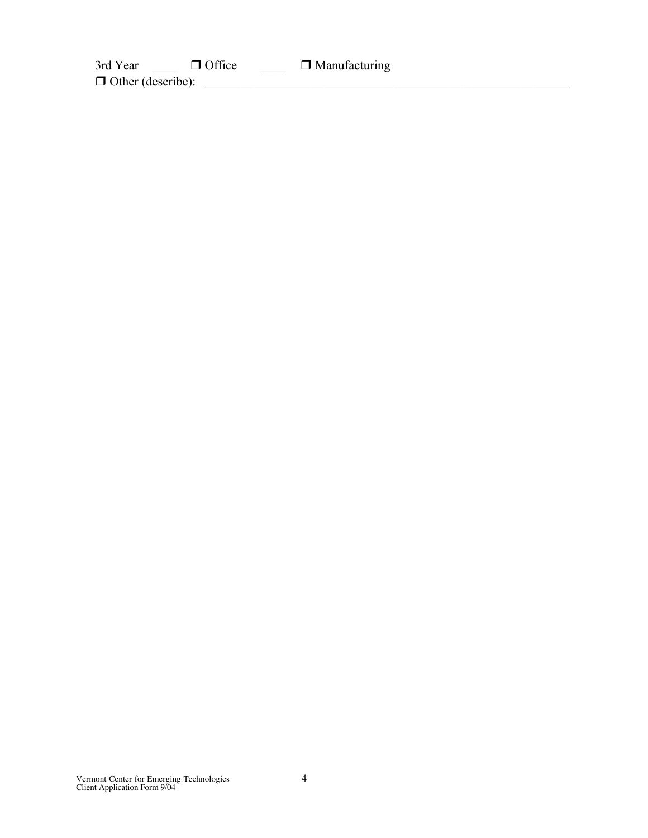3rd Year  $\Box$  **O** Office  $\Box$  **Manufacturing**  $\Box$  Other (describe):  $\Box$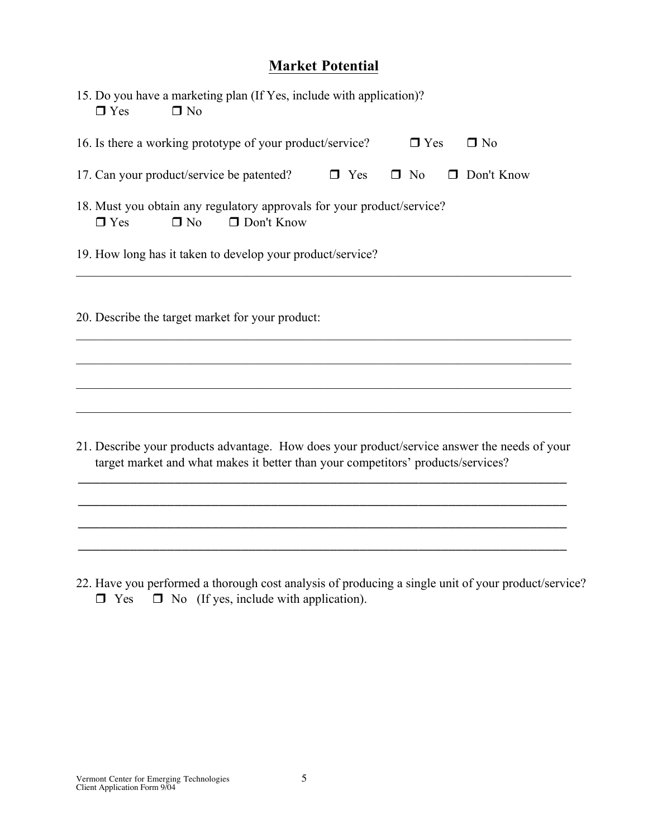### Market Potential

| 15. Do you have a marketing plan (If Yes, include with application)?<br>$\Box$ No<br>$\Box$ Yes                        |  |  |
|------------------------------------------------------------------------------------------------------------------------|--|--|
| 16. Is there a working prototype of your product/service?<br>$\Box$ Yes<br>$\Box$ No                                   |  |  |
| 17. Can your product/service be patented?<br>$\Box$ Yes<br>$\square$ No<br>$\Box$ Don't Know                           |  |  |
| 18. Must you obtain any regulatory approvals for your product/service?<br>$\Box$ Don't Know<br>$\Box$ Yes<br>$\Box$ No |  |  |
| 19. How long has it taken to develop your product/service?                                                             |  |  |
| 20. Describe the target market for your product:                                                                       |  |  |
|                                                                                                                        |  |  |
|                                                                                                                        |  |  |

21. Describe your products advantage. How does your product/service answer the needs of your target market and what makes it better than your competitors' products/services?

\_\_\_\_\_\_\_\_\_\_\_\_\_\_\_\_\_\_\_\_\_\_\_\_\_\_\_\_\_\_\_\_\_\_\_\_\_\_\_\_\_\_\_\_\_\_\_\_\_\_\_\_\_\_\_\_\_\_\_\_\_\_\_\_\_\_

\_\_\_\_\_\_\_\_\_\_\_\_\_\_\_\_\_\_\_\_\_\_\_\_\_\_\_\_\_\_\_\_\_\_\_\_\_\_\_\_\_\_\_\_\_\_\_\_\_\_\_\_\_\_\_\_\_\_\_\_\_\_\_\_\_\_

\_\_\_\_\_\_\_\_\_\_\_\_\_\_\_\_\_\_\_\_\_\_\_\_\_\_\_\_\_\_\_\_\_\_\_\_\_\_\_\_\_\_\_\_\_\_\_\_\_\_\_\_\_\_\_\_\_\_\_\_\_\_\_\_\_\_

\_\_\_\_\_\_\_\_\_\_\_\_\_\_\_\_\_\_\_\_\_\_\_\_\_\_\_\_\_\_\_\_\_\_\_\_\_\_\_\_\_\_\_\_\_\_\_\_\_\_\_\_\_\_\_\_\_\_\_\_\_\_\_\_\_\_

 $\mathcal{L}_\mathcal{L} = \{ \mathcal{L}_\mathcal{L} = \{ \mathcal{L}_\mathcal{L} = \{ \mathcal{L}_\mathcal{L} = \{ \mathcal{L}_\mathcal{L} = \{ \mathcal{L}_\mathcal{L} = \{ \mathcal{L}_\mathcal{L} = \{ \mathcal{L}_\mathcal{L} = \{ \mathcal{L}_\mathcal{L} = \{ \mathcal{L}_\mathcal{L} = \{ \mathcal{L}_\mathcal{L} = \{ \mathcal{L}_\mathcal{L} = \{ \mathcal{L}_\mathcal{L} = \{ \mathcal{L}_\mathcal{L} = \{ \mathcal{L}_\mathcal{$ 

 $\mathcal{L}_\mathcal{L} = \{ \mathcal{L}_\mathcal{L} = \{ \mathcal{L}_\mathcal{L} = \{ \mathcal{L}_\mathcal{L} = \{ \mathcal{L}_\mathcal{L} = \{ \mathcal{L}_\mathcal{L} = \{ \mathcal{L}_\mathcal{L} = \{ \mathcal{L}_\mathcal{L} = \{ \mathcal{L}_\mathcal{L} = \{ \mathcal{L}_\mathcal{L} = \{ \mathcal{L}_\mathcal{L} = \{ \mathcal{L}_\mathcal{L} = \{ \mathcal{L}_\mathcal{L} = \{ \mathcal{L}_\mathcal{L} = \{ \mathcal{L}_\mathcal{$ 

22. Have you performed a thorough cost analysis of producing a single unit of your product/service?  $\Box$  Yes  $\Box$  No (If yes, include with application).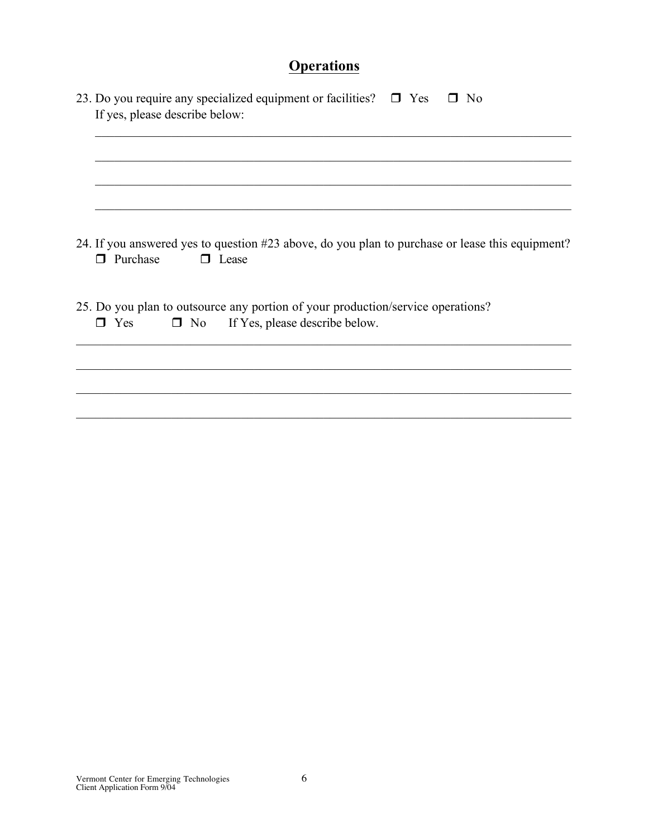# **Operations**

| 23. Do you require any specialized equipment or facilities? $\Box$ Yes<br>$\Box$ No<br>If yes, please describe below:                     |  |  |
|-------------------------------------------------------------------------------------------------------------------------------------------|--|--|
|                                                                                                                                           |  |  |
|                                                                                                                                           |  |  |
| 24. If you answered yes to question #23 above, do you plan to purchase or lease this equipment?<br>$\Box$ Purchase<br>$\Box$ Lease        |  |  |
| 25. Do you plan to outsource any portion of your production/service operations?<br>$\Box$ No If Yes, please describe below.<br>$\Box$ Yes |  |  |
|                                                                                                                                           |  |  |
|                                                                                                                                           |  |  |